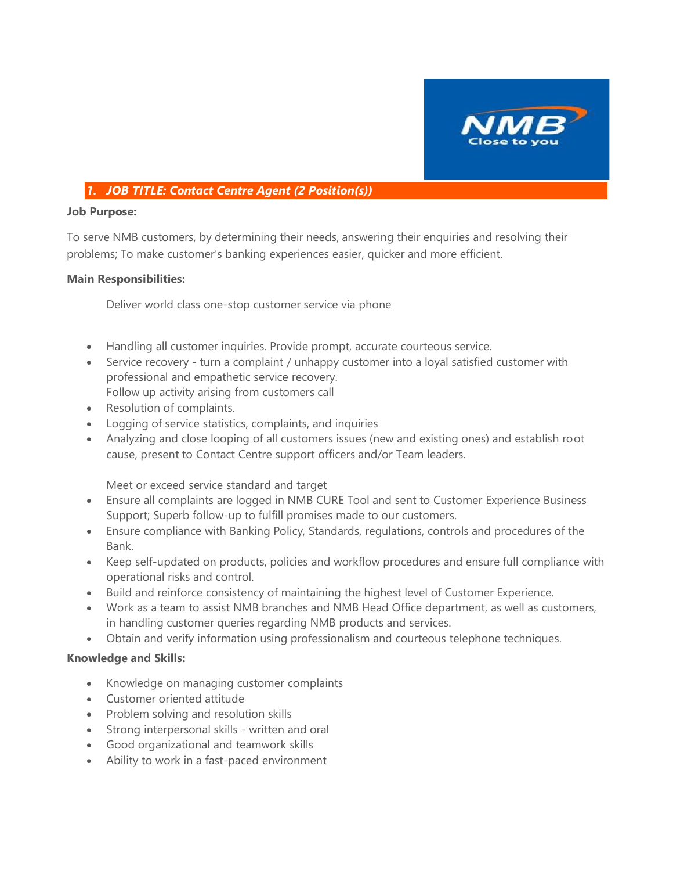

#### *1. JOB TITLE: Contact Centre Agent (2 Position(s))*

#### **Job Purpose:**

To serve NMB customers, by determining their needs, answering their enquiries and resolving their problems; To make customer's banking experiences easier, quicker and more efficient.

#### **Main Responsibilities:**

Deliver world class one-stop customer service via phone

- Handling all customer inquiries. Provide prompt, accurate courteous service.
- Service recovery turn a complaint / unhappy customer into a loyal satisfied customer with professional and empathetic service recovery. Follow up activity arising from customers call
- Resolution of complaints.
- Logging of service statistics, complaints, and inquiries
- Analyzing and close looping of all customers issues (new and existing ones) and establish root cause, present to Contact Centre support officers and/or Team leaders.

Meet or exceed service standard and target

- Ensure all complaints are logged in NMB CURE Tool and sent to Customer Experience Business Support; Superb follow-up to fulfill promises made to our customers.
- Ensure compliance with Banking Policy, Standards, regulations, controls and procedures of the Bank.
- Keep self-updated on products, policies and workflow procedures and ensure full compliance with operational risks and control.
- Build and reinforce consistency of maintaining the highest level of Customer Experience.
- Work as a team to assist NMB branches and NMB Head Office department, as well as customers, in handling customer queries regarding NMB products and services.
- Obtain and verify information using professionalism and courteous telephone techniques.

#### **Knowledge and Skills:**

- Knowledge on managing customer complaints
- Customer oriented attitude
- Problem solving and resolution skills
- Strong interpersonal skills written and oral
- Good organizational and teamwork skills
- Ability to work in a fast-paced environment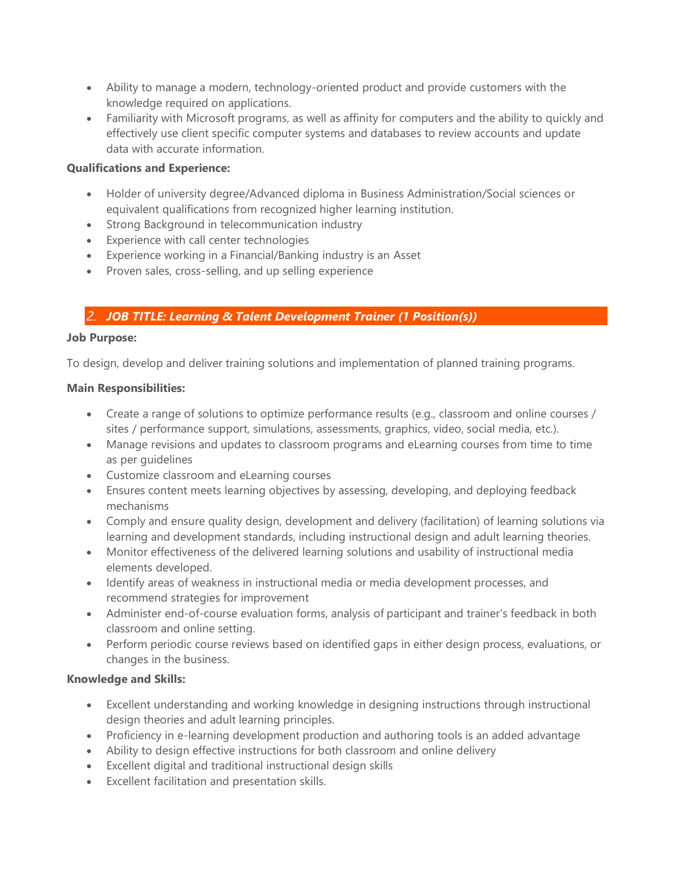- Ability to manage a modern, technology-oriented product and provide customers with the knowledge required on applications.
- Familiarity with Microsoft programs, as well as affinity for computers and the ability to quickly and effectively use client specific computer systems and databases to review accounts and update data with accurate information.

#### **Qualifications and Experience:**

- Holder of university degree/Advanced diploma in Business Administration/Social sciences or equivalent qualifications from recognized higher learning institution.
- Strong Background in telecommunication industry
- Experience with call center technologies
- Experience working in a Financial/Banking industry is an Asset
- Proven sales, cross-selling, and up selling experience

#### *2. JOB TITLE: Learning & Talent Development Trainer (1 Position(s))*

#### **Job Purpose:**

To design, develop and deliver training solutions and implementation of planned training programs.

#### **Main Responsibilities:**

- Create a range of solutions to optimize performance results (e.g., classroom and online courses / sites / performance support, simulations, assessments, graphics, video, social media, etc.).
- Manage revisions and updates to classroom programs and eLearning courses from time to time as per guidelines
- Customize classroom and eLearning courses
- Ensures content meets learning objectives by assessing, developing, and deploying feedback mechanisms
- Comply and ensure quality design, development and delivery (facilitation) of learning solutions via learning and development standards, including instructional design and adult learning theories.
- Monitor effectiveness of the delivered learning solutions and usability of instructional media elements developed.
- Identify areas of weakness in instructional media or media development processes, and recommend strategies for improvement
- Administer end-of-course evaluation forms, analysis of participant and trainer's feedback in both classroom and online setting.
- Perform periodic course reviews based on identified gaps in either design process, evaluations, or changes in the business.

#### **Knowledge and Skills:**

- Excellent understanding and working knowledge in designing instructions through instructional design theories and adult learning principles.
- Proficiency in e-learning development production and authoring tools is an added advantage
- Ability to design effective instructions for both classroom and online delivery
- Excellent digital and traditional instructional design skills
- Excellent facilitation and presentation skills.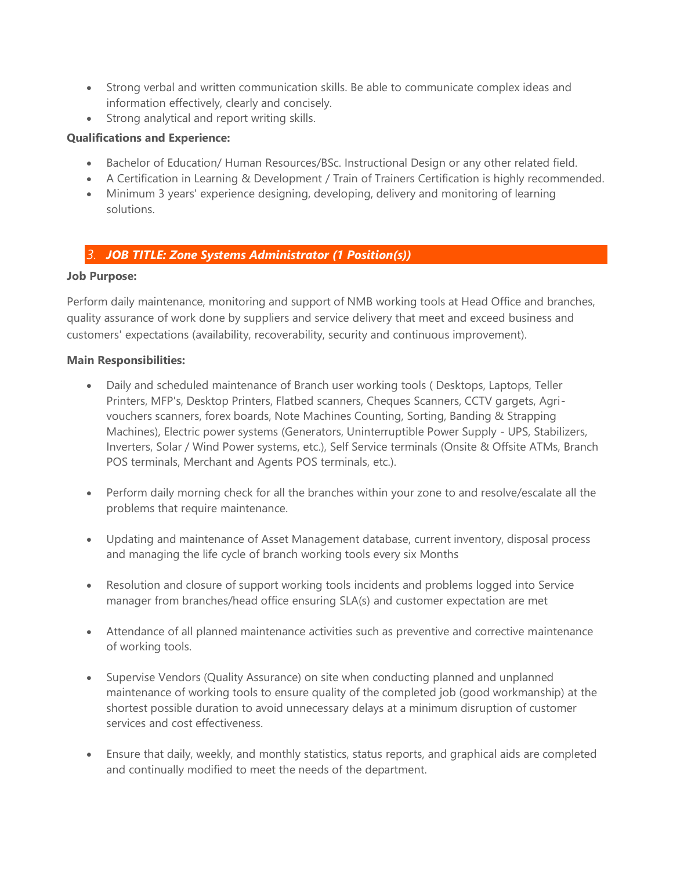- Strong verbal and written communication skills. Be able to communicate complex ideas and information effectively, clearly and concisely.
- Strong analytical and report writing skills.

#### **Qualifications and Experience:**

- Bachelor of Education/ Human Resources/BSc. Instructional Design or any other related field.
- A Certification in Learning & Development / Train of Trainers Certification is highly recommended.
- Minimum 3 years' experience designing, developing, delivery and monitoring of learning solutions.

#### *3. JOB TITLE: Zone Systems Administrator (1 Position(s))*

#### **Job Purpose:**

Perform daily maintenance, monitoring and support of NMB working tools at Head Office and branches, quality assurance of work done by suppliers and service delivery that meet and exceed business and customers' expectations (availability, recoverability, security and continuous improvement).

#### **Main Responsibilities:**

- Daily and scheduled maintenance of Branch user working tools (Desktops, Laptops, Teller Printers, MFP's, Desktop Printers, Flatbed scanners, Cheques Scanners, CCTV gargets, Agrivouchers scanners, forex boards, Note Machines Counting, Sorting, Banding & Strapping Machines), Electric power systems (Generators, Uninterruptible Power Supply - UPS, Stabilizers, Inverters, Solar / Wind Power systems, etc.), Self Service terminals (Onsite & Offsite ATMs, Branch POS terminals, Merchant and Agents POS terminals, etc.).
- Perform daily morning check for all the branches within your zone to and resolve/escalate all the problems that require maintenance.
- Updating and maintenance of Asset Management database, current inventory, disposal process and managing the life cycle of branch working tools every six Months
- Resolution and closure of support working tools incidents and problems logged into Service manager from branches/head office ensuring SLA(s) and customer expectation are met
- Attendance of all planned maintenance activities such as preventive and corrective maintenance of working tools.
- Supervise Vendors (Quality Assurance) on site when conducting planned and unplanned maintenance of working tools to ensure quality of the completed job (good workmanship) at the shortest possible duration to avoid unnecessary delays at a minimum disruption of customer services and cost effectiveness.
- Ensure that daily, weekly, and monthly statistics, status reports, and graphical aids are completed and continually modified to meet the needs of the department.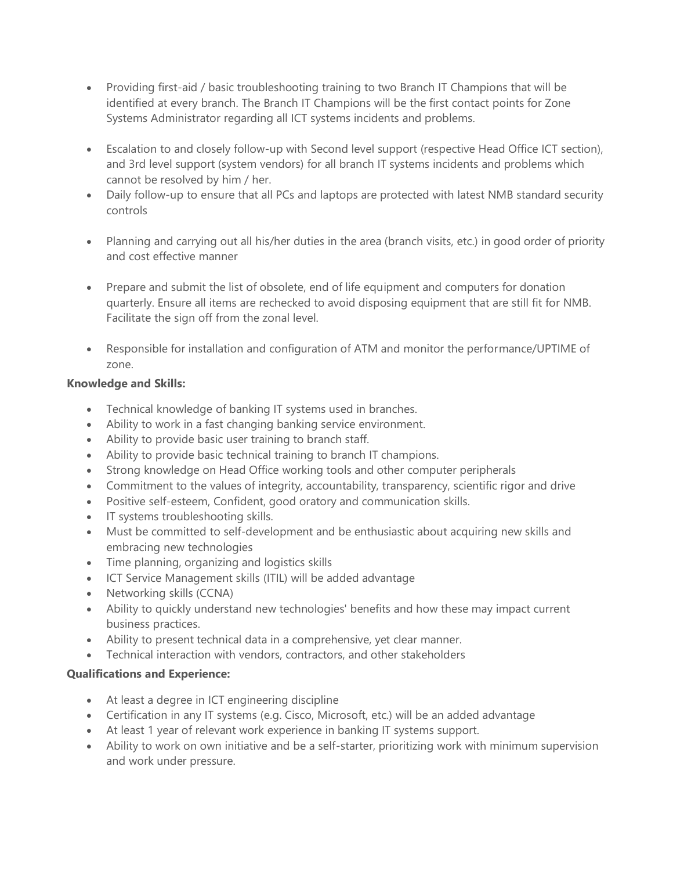- Providing first-aid / basic troubleshooting training to two Branch IT Champions that will be identified at every branch. The Branch IT Champions will be the first contact points for Zone Systems Administrator regarding all ICT systems incidents and problems.
- Escalation to and closely follow-up with Second level support (respective Head Office ICT section), and 3rd level support (system vendors) for all branch IT systems incidents and problems which cannot be resolved by him / her.
- Daily follow-up to ensure that all PCs and laptops are protected with latest NMB standard security controls
- Planning and carrying out all his/her duties in the area (branch visits, etc.) in good order of priority and cost effective manner
- Prepare and submit the list of obsolete, end of life equipment and computers for donation quarterly. Ensure all items are rechecked to avoid disposing equipment that are still fit for NMB. Facilitate the sign off from the zonal level.
- Responsible for installation and configuration of ATM and monitor the performance/UPTIME of zone.

#### **Knowledge and Skills:**

- Technical knowledge of banking IT systems used in branches.
- Ability to work in a fast changing banking service environment.
- Ability to provide basic user training to branch staff.
- Ability to provide basic technical training to branch IT champions.
- Strong knowledge on Head Office working tools and other computer peripherals
- Commitment to the values of integrity, accountability, transparency, scientific rigor and drive
- Positive self-esteem, Confident, good oratory and communication skills.
- IT systems troubleshooting skills.
- Must be committed to self-development and be enthusiastic about acquiring new skills and embracing new technologies
- Time planning, organizing and logistics skills
- ICT Service Management skills (ITIL) will be added advantage
- Networking skills (CCNA)
- Ability to quickly understand new technologies' benefits and how these may impact current business practices.
- Ability to present technical data in a comprehensive, yet clear manner.
- Technical interaction with vendors, contractors, and other stakeholders

#### **Qualifications and Experience:**

- At least a degree in ICT engineering discipline
- Certification in any IT systems (e.g. Cisco, Microsoft, etc.) will be an added advantage
- At least 1 year of relevant work experience in banking IT systems support.
- Ability to work on own initiative and be a self-starter, prioritizing work with minimum supervision and work under pressure.